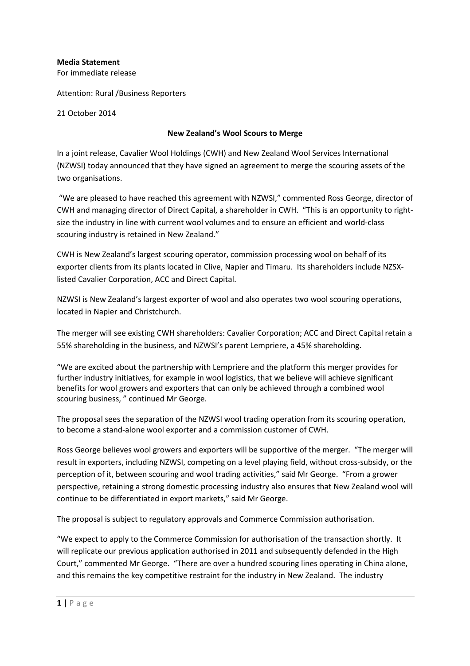## **Media Statement**

For immediate release

Attention: Rural /Business Reporters

21 October 2014

## **New Zealand's Wool Scours to Merge**

In a joint release, Cavalier Wool Holdings (CWH) and New Zealand Wool Services International (NZWSI) today announced that they have signed an agreement to merge the scouring assets of the two organisations.

 "We are pleased to have reached this agreement with NZWSI," commented Ross George, director of CWH and managing director of Direct Capital, a shareholder in CWH. "This is an opportunity to rightsize the industry in line with current wool volumes and to ensure an efficient and world-class scouring industry is retained in New Zealand."

CWH is New Zealand's largest scouring operator, commission processing wool on behalf of its exporter clients from its plants located in Clive, Napier and Timaru. Its shareholders include NZSXlisted Cavalier Corporation, ACC and Direct Capital.

NZWSI is New Zealand's largest exporter of wool and also operates two wool scouring operations, located in Napier and Christchurch.

The merger will see existing CWH shareholders: Cavalier Corporation; ACC and Direct Capital retain a 55% shareholding in the business, and NZWSI's parent Lempriere, a 45% shareholding.

"We are excited about the partnership with Lempriere and the platform this merger provides for further industry initiatives, for example in wool logistics, that we believe will achieve significant benefits for wool growers and exporters that can only be achieved through a combined wool scouring business, " continued Mr George.

The proposal sees the separation of the NZWSI wool trading operation from its scouring operation, to become a stand-alone wool exporter and a commission customer of CWH.

Ross George believes wool growers and exporters will be supportive of the merger. "The merger will result in exporters, including NZWSI, competing on a level playing field, without cross-subsidy, or the perception of it, between scouring and wool trading activities," said Mr George. "From a grower perspective, retaining a strong domestic processing industry also ensures that New Zealand wool will continue to be differentiated in export markets," said Mr George.

The proposal is subject to regulatory approvals and Commerce Commission authorisation.

"We expect to apply to the Commerce Commission for authorisation of the transaction shortly. It will replicate our previous application authorised in 2011 and subsequently defended in the High Court," commented Mr George. "There are over a hundred scouring lines operating in China alone, and this remains the key competitive restraint for the industry in New Zealand. The industry